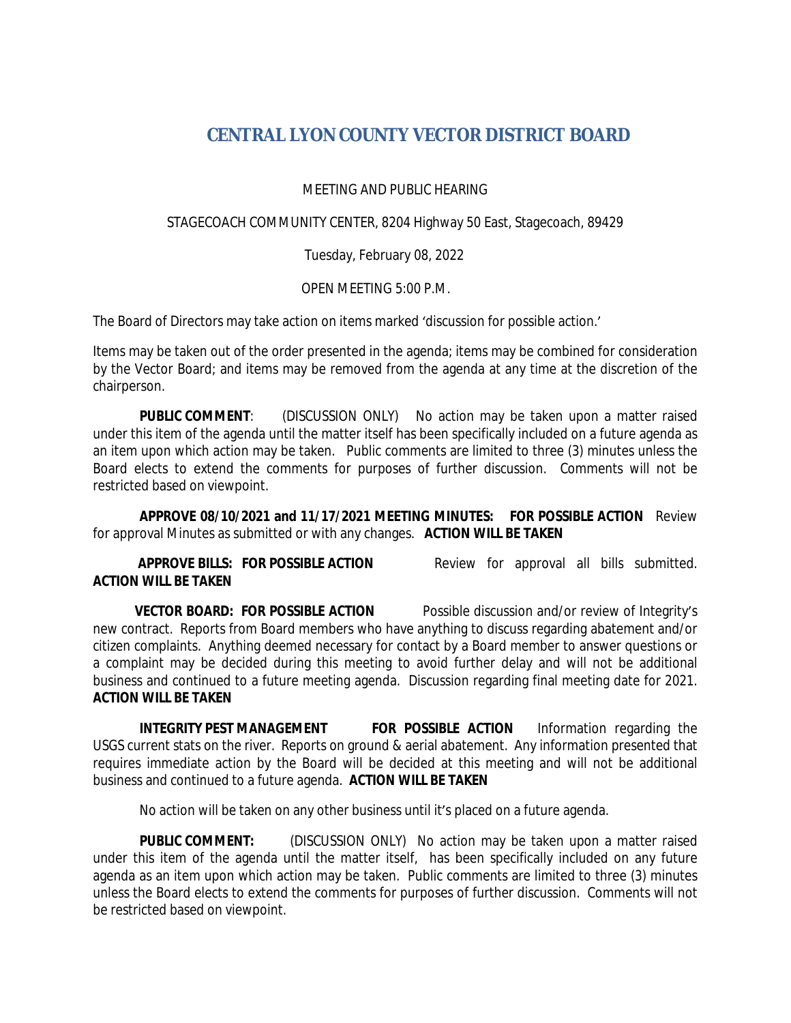## **CENTRAL LYON COUNTY VECTOR DISTRICT BOARD**

MEETING AND PUBLIC HEARING

STAGECOACH COMMUNITY CENTER, 8204 Highway 50 East, Stagecoach, 89429

Tuesday, February 08, 2022

OPEN MEETING 5:00 P.M.

The Board of Directors may take action on items marked 'discussion for possible action.'

Items may be taken out of the order presented in the agenda; items may be combined for consideration by the Vector Board; and items may be removed from the agenda at any time at the discretion of the chairperson.

**PUBLIC COMMENT:** (DISCUSSION ONLY) No action may be taken upon a matter raised under this item of the agenda until the matter itself has been specifically included on a future agenda as an item upon which action may be taken. Public comments are limited to three (3) minutes unless the Board elects to extend the comments for purposes of further discussion. Comments will not be restricted based on viewpoint.

**APPROVE 08/10/2021 and 11/17/2021 MEETING MINUTES: FOR POSSIBLE ACTION** Review for approval Minutes as submitted or with any changes. **ACTION WILL BE TAKEN**

## **ACTION WILL BE TAKEN**

**APPROVE BILLS: FOR POSSIBLE ACTION** Review for approval all bills submitted.

**VECTOR BOARD: FOR POSSIBLE ACTION** Possible discussion and/or review of Integrity's new contract. Reports from Board members who have anything to discuss regarding abatement and/or citizen complaints. Anything deemed necessary for contact by a Board member to answer questions or a complaint may be decided during this meeting to avoid further delay and will not be additional business and continued to a future meeting agenda. Discussion regarding final meeting date for 2021. **ACTION WILL BE TAKEN**

**INTEGRITY PEST MANAGEMENT FOR POSSIBLE ACTION** Information regarding the USGS current stats on the river. Reports on ground & aerial abatement. Any information presented that requires immediate action by the Board will be decided at this meeting and will not be additional business and continued to a future agenda. **ACTION WILL BE TAKEN**

No action will be taken on any other business until it's placed on a future agenda.

**PUBLIC COMMENT:** (DISCUSSION ONLY) No action may be taken upon a matter raised under this item of the agenda until the matter itself, has been specifically included on any future agenda as an item upon which action may be taken. Public comments are limited to three (3) minutes unless the Board elects to extend the comments for purposes of further discussion. Comments will not be restricted based on viewpoint.